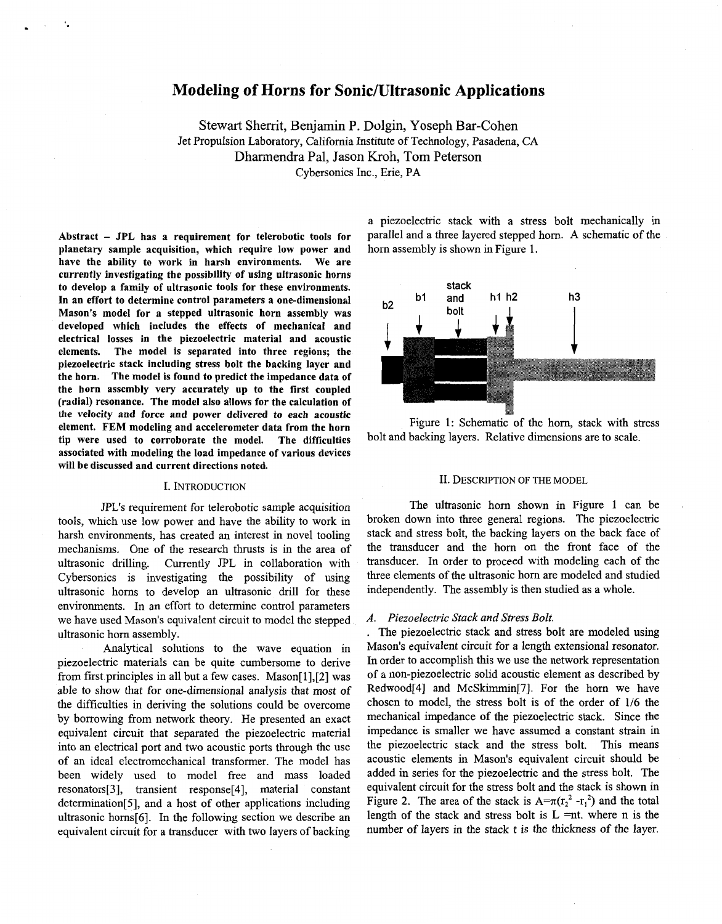# **Modeling of Horns for Sonic/Ultrasonic Applications**

Stewart Sherrit, Benjamin P. Dolgin, Yoseph Bar-Cohen Jet Propulsion Laboratory, California Institute of Technology, Pasadena, CA Dharmendra Pal, Jason Kroh, Tom Peterson Cybersonics Inc., Erie, PA

**Abstract** - **JPL has a requirement for telerobotic tools for planetary sample acquisition, which require low power and have the ability to work in harsh environments. We are currently investigating the possibility of using ultrasonic horns to develop a family of ultrasonic tools for these environments. In an effort to determine control parameters a one-dimensional Mason's model for a stepped ultrasonic horn assembly was developed which includes the effects of mechanical nd electrical losses in the piezoelectric material and acoustic elements. The model is separated into three regions; the piezoelectric stack including stress bolt the backing layer and the horn. The model is found to predict the impedance data of the horn assembly very accurately up to the first coupled (radial) resonance. The model also allows for the calculation of the velocity and force and power delivered to each acoustic element. FEM modeling and accelerometer data from the horn tip were used to corroborate the model. The difficulties associated with modeling the load impedance of various devices will be discussed and current directions noted.** 

### I. INTRODUCTION

*JPL's* requirement for telerobotic sample acquisition tools, which use low power and have the ability to work in harsh environments, has created an interest in novel tooling mechanisms. One of the research thrusts is in the area of ultrasonic drilling. Currently JPL in collaboration with Currently JPL in collaboration with Cybersonics is investigating the possibility of using ultrasonic horns to develop an ultrasonic drill for these environments. In an effort to determine control parameters we have used Mason's equivalent circuit to model the stepped ultrasonic horn assembly.

Analytical solutions to the wave equation in piezoelectric materials can be quite cumbersome to derive from first principles in all but a few cases. Mason $[1]$ , $[2]$  was able to show that for one-dimensional analysis that most of the difficulties in deriving the solutions could be overcome by borrowing from network theory. He presented an exact equivalent circuit that separated the piezoelectric material into an electrical port and two acoustic ports through the use of an ideal electromechanical transformer. The model has been widely used to model free and mass loaded resonators[3], transient response[4], material constant determination[5], and a host of other applications including ultrasonic horns[6]. In the following section we describe an equivalent circuit for a transducer with two layers of backing

a piezoelectric stack with a stress bolt mechanically in parallel and a three layered stepped horn. **A** schematic of the horn assembly is shown in Figure 1.



Figure 1: Schematic of the horn, stack with stress bolt and backing layers. Relative dimensions are to scale.

### II. DESCRIPTION OF THE MODEL

The ultrasonic horn shown in Figure 1 can be broken down into three general regions. The piezoelectric stack and stress bolt, the backing layers on the back face of the transducer and the horn on the front face of the transducer. In order to proceed with modeling each of the three elements of the ultrasonic horn are modeled and studied independently. The assembly is then studied as a whole.

# *A. Piezoelectric Stack and Stress Bolt.*

. The piezoelectric stack and stress bolt are modeled using Mason's equivalent circuit for a length extensional resonator. In order to accomplish this we use the network representation of a non-piezoelectric solid acoustic element as described by Redwood[4] and McSkimmin[7]. For the horn we have chosen to model, the stress bolt is of the order of 1/6 the mechanical impedance of the piezoelectric stack. Since the impedance is smaller we have assumed a constant strain in the piezoelectric stack and the stress bolt. This means acoustic elements in Mason's equivalent circuit should be added in series for the piezoelectric and the stress bolt. The equivalent circuit for the stress bolt and the stack is shown in [Figure](#page-1-0) 2. The area of the stack is  $A = \pi (r_2^2 - r_1^2)$  and the total length of the stack and stress bolt is  $L = nt$ . where n is the number of layers in the stack t is the thickness of the layer.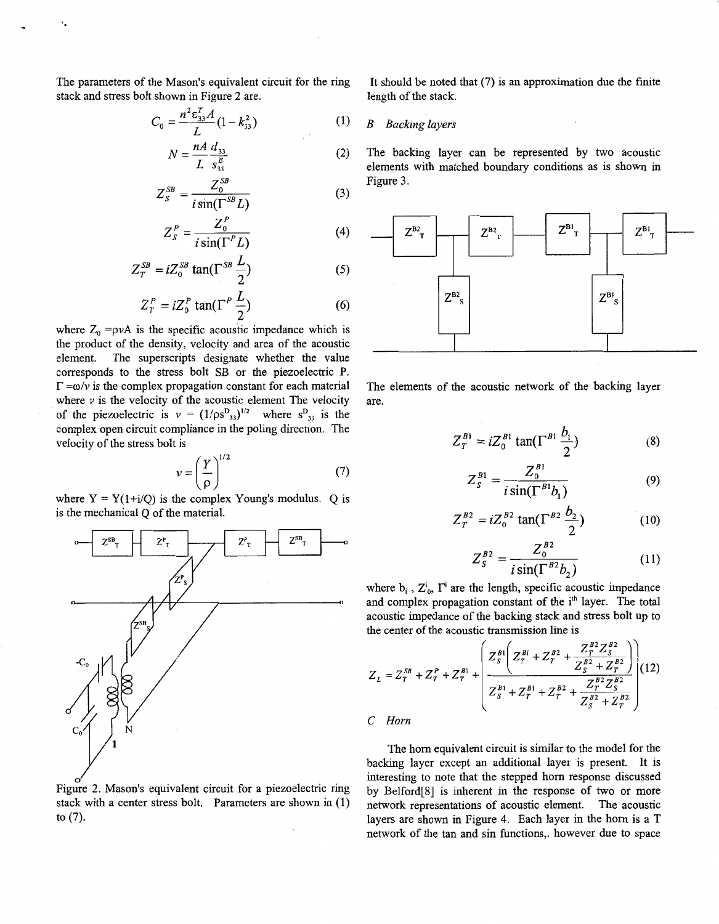<span id="page-1-0"></span>The parameters of the Mason's equivalent circuit for the ring stack and stress bolt shown in Figure 2 are.

$$
C_0 = \frac{n^2 \epsilon_{33}^T A}{L} (1 - k_{33}^2)
$$
 (1)

$$
N = \frac{nA}{L} \frac{d_{33}}{s_{33}^E} \tag{2}
$$

$$
Z_S^{SB} = \frac{Z_0^{SB}}{i \sin(\Gamma^{SB} L)}\tag{3}
$$

$$
Z_{S}^{P} = \frac{Z_{0}^{P}}{i\sin(\Gamma^{P}L)}\tag{4}
$$

$$
Z_T^{SB} = iZ_0^{SB} \tan(\Gamma^{SB} \frac{L}{2})
$$
 (5)

$$
Z_r^P = iZ_0^P \tan(\Gamma^P \frac{L}{2})
$$
 (6)

where  $Z_0 = \rho vA$  is the specific acoustic impedance which is the product of the density, velocity and area of the acoustic element. The superscripts designate whether the value corresponds to the stress bolt SB or the piezoelectric P.  $\Gamma = \omega/v$  is the complex propagation constant for each material where  $\nu$  is the velocity of the acoustic element The velocity of the piezoelectric is  $v = (1/\rho s_{33})^{1/2}$  where  $s_{33}^{D}$  is the complex open circuit compliance in the poling direction. The velocity of the stress bolt is

is  

$$
v = \left(\frac{Y}{\rho}\right)^{1/2}
$$
 (7)

where  $Y = Y(1+i/O)$  is the complex Young's modulus. O is is the mechanical Q of the material.



Figure 2. Mason's equivalent circuit for a piezoelectric ring stack with a center stress bolt. Parameters are shown in (1) to (7).

It should be noted that (7) is an approximation due the finite length of the stack.

# *B Backing layers*

The backing layer can be represented by two acoustic elements with matched boundary conditions as is shown in Figure 3.



The elements of the acoustic network of the backing layer are.

$$
Z_T^{B1} = iZ_0^{B1} \tan(\Gamma^{B1} \frac{b_1}{2})
$$
 (8)

$$
Z_S^{B1} = \frac{Z_0^{B1}}{i \sin(\Gamma^{B1} b_1)}\tag{9}
$$

$$
Z_T^{B2} = iZ_0^{B2} \tan(\Gamma^{B2} \frac{b_2}{2})
$$
 (10)

$$
Z_S^{B2} = \frac{Z_0^{B2}}{i \sin(\Gamma^{B2} b_2)}
$$
 (11)

where  $b_i$ ,  $Z^i_{0}$ ,  $\Gamma^i$  are the length, specific acoustic impedance and complex propagation constant of the i<sup>th</sup> layer. The total acoustic impedance of the backing stack and stress bolt up to the center of the acoustic transmission line is

$$
Z_{L} = Z_{T}^{SB} + Z_{T}^{P} + Z_{T}^{B1} + \left(\frac{Z_{S}^{B1}\left(Z_{T}^{B1} + Z_{T}^{B2} + \frac{Z_{T}^{B2}Z_{S}^{B2}}{Z_{S}^{B2} + Z_{T}^{B2}}\right)}{Z_{S}^{B1} + Z_{T}^{B1} + Z_{T}^{B2} + \frac{Z_{T}^{B2}Z_{S}^{B2}}{Z_{S}^{B2} + Z_{T}^{B2}}\right)
$$
(12)

# *C Horn*

The horn equivalent circuit is similar to the model for the backing layer except an additional layer is present. It is interesting to note that the stepped horn response discussed by Belford[8] is inherent in the response of two or more network representations of acoustic element. The acoustic layers are shown in F[igure 4.](#page-2-0) Each layer in the horn is a T network of the tan and sin functions,. however due to space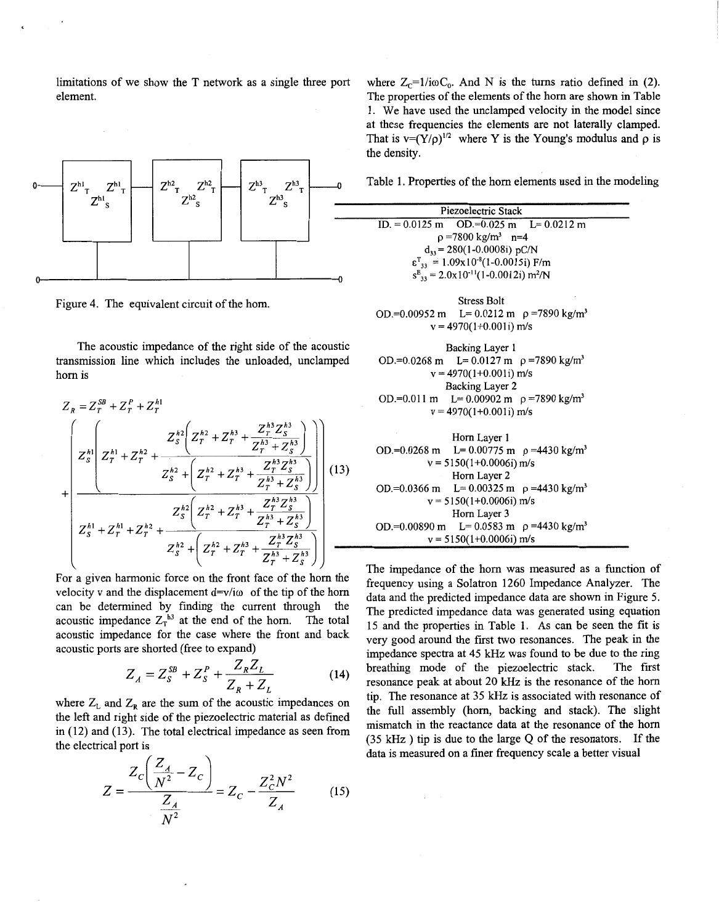<span id="page-2-0"></span>limitations of we show the T network as a single three port where  $Z_c=1/i\omega C_0$ . And N is the turns ratio defined in (2). element. The properties of the elements of the horn are shown in Table



Figure 4. The equivalent circuit of the horn.

The acoustic impedance of the right side of the acoustic transmission line which includes the unloaded, unclamped horn is

$$
Z_{R} = Z_{T}^{SB} + Z_{T}^{P} + Z_{T}^{h1}
$$
\n
$$
= \begin{pmatrix}\nZ_{S}^{h1}\left(Z_{T}^{h2} + Z_{T}^{h3} + \frac{Z_{T}^{h3}Z_{S}^{h3}}{Z_{T}^{h3} + Z_{S}^{h3}}\right) \\
Z_{S}^{h1}\left(Z_{T}^{h1} + Z_{T}^{h2} + \frac{Z_{S}^{h2}\left(Z_{T}^{h2} + Z_{T}^{h3} + \frac{Z_{T}^{h3}Z_{S}^{h3}}{Z_{T}^{h3} + Z_{S}^{h3}}\right)}{Z_{S}^{h2}\left(Z_{T}^{h2} + Z_{T}^{h3} + \frac{Z_{T}^{h3}Z_{S}^{h3}}{Z_{T}^{h3} + Z_{S}^{h3}}\right)}\n\end{pmatrix}
$$
\n
$$
Z_{S}^{h1} + Z_{T}^{h1} + Z_{T}^{h2} + \frac{Z_{S}^{h2}\left(Z_{T}^{h2} + Z_{T}^{h3} + \frac{Z_{T}^{h3}Z_{S}^{h3}}{Z_{T}^{h3} + Z_{S}^{h3}}\right)}{Z_{S}^{h2}+\left(Z_{T}^{h2} + Z_{T}^{h3} + \frac{Z_{T}^{h2}Z_{S}^{h3}}{Z_{T}^{h3} + Z_{S}^{h3}}\right)}
$$

For a given harmonic force on the front face of the horn the velocity v and the displacement  $d=v/i\omega$  of the tip of the horn can be determined by finding the current through the acoustic impedance  $Z_T^{h3}$  at the end of the horn. The total acoustic impedance for the case where the front and back acoustic ports are shorted (free to expand)

$$
Z_A = Z_S^{SB} + Z_S^P + \frac{Z_R Z_L}{Z_R + Z_L}
$$
 (14)

where  $Z_L$  and  $Z_R$  are the sum of the acoustic impedances on the left and right side of the piezoelectric material as defined in (12) and (13). The total electrical impedance as seen from the electrical port is

$$
Z = \frac{Z_c \left(\frac{Z_A}{N^2} - Z_c\right)}{\frac{Z_A}{N^2}} = Z_c - \frac{Z_c^2 N^2}{Z_A}
$$
 (15)

**1.** We have used the unclamped velocity in the model since at these frequencies the elements are not laterally clamped. That is  $v=(Y/\rho)^{1/2}$  where *Y* is the Young's modulus and  $\rho$  is the density.

| Piezoelectric Stack                                                |                                                 |
|--------------------------------------------------------------------|-------------------------------------------------|
|                                                                    | ID. = $0.0125$ m OD. = $0.025$ m L = $0.0212$ m |
| $p = 7800 \text{ kg/m}^3$ n=4                                      |                                                 |
| $d_{33} = 280(1 - 0.0008i) pC/N$                                   |                                                 |
| $\epsilon^{\text{T}}_{33} = 1.09 \times 10^{-8} (1 - 0.0015i)$ F/m |                                                 |
| $s_{33}^E = 2.0x10^{-11}(1-0.0012i) m^2/N$                         |                                                 |

Stress Bolt OD.=0.00952 m L= 0.0212 m **p** =7890 kg/m3  $v = 4970(1+0.001i)$  m/s

\n Backing Layer 1  
\n OD.=0.0268 m  
\n L= 0.0127 m  
\n 
$$
\rho = 7890 \, \text{kg/m}^3
$$
  
\n $v = 4970(1+0.001i) \, \text{m/s}$   
\n Backing Layer 2  
\n OD.=0.011 m  
\n L= 0.00902 m  
\n  $\rho = 7890 \, \text{kg/m}^3$   
\n $v = 4970(1+0.001i) \, \text{m/s}$ \n

Horn Layer 1

\nOD.=0.0268 m      Le = 0.00775 m      
$$
\rho
$$
 =4430 kg/m<sup>3</sup>  $v = 5150(1+0.0006i)$  m/s  
\n Horn Layer 2

\nOD.=0.0366 m      Le = 0.00325 m       $\rho$  =4430 kg/m<sup>3</sup>  $v = 5150(1+0.0006i)$  m/s  
\n Horn Layer 3

\nOD.=0.00890 m      Le = 0.0583 m       $\rho$  =4430 kg/m<sup>3</sup>  $v = 5150(1+0.0006i)$  m/s

The impedance of the horn was measured as a function of frequency using a Solatron 1260 Impedance Analyzer. The data and the predicted impedance data are shown in [Figure 5.](#page-3-0) The predicted impedance data was generated using equation 15 and the properties in Table 1. As can be seen the fit **is**  very good around the first two resonances. The peak in the impedance spectra at 45 kHz was found to be due to the ring breathing mode of the piezoelectric stack. The first resonance peak at about 20 kHz is the resonance of the horn tip. The resonance at 35 kHz is associated with resonance of the full assembly (horn, backing and stack). The slight mismatch in the reactance data at the resonance of the horn (35 kHz ) tip is due to the large Q of the resonators. If the data is measured on a finer frequency scale a better visual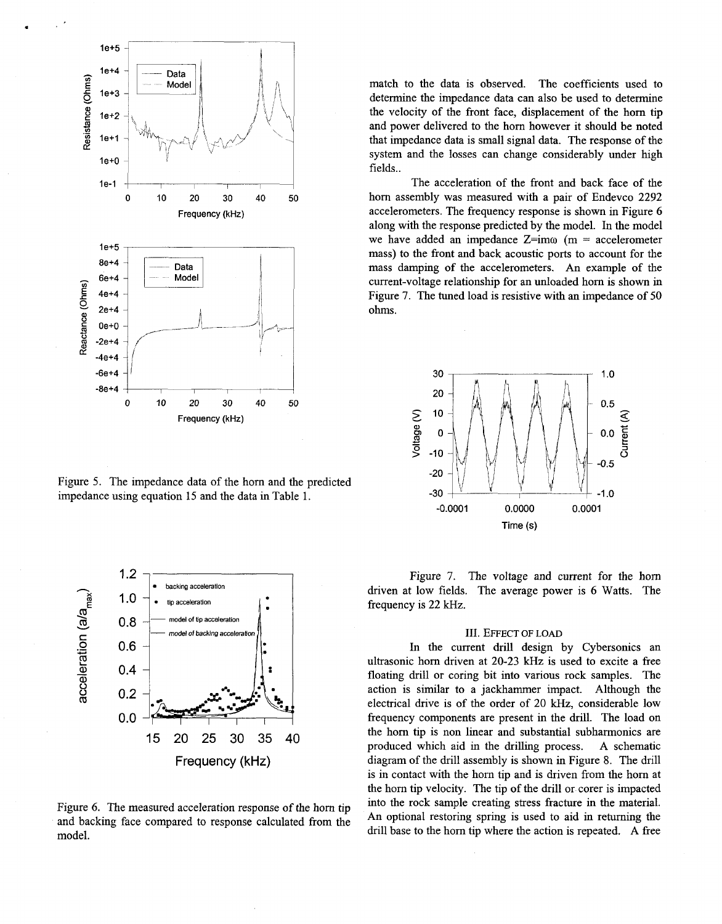

<span id="page-3-0"></span>.

Figure 5. The impedance data of the horn and the predicted impedance using equation 15 and the data in [Table 1.](#page-2-0)



Figure *6.* The measured acceleration response of the horn tip model. and backing face compared to response calculated from the An optional restoring spring is used to aid in returning the

match to the data is observed. The coefficients used to determine the impedance data can also be used to determine the velocity of the front face, displacement of the horn tip and power delivered to the horn however it should be noted that impedance data is small signal data. The response of the system and the losses can change considerably under high fields..

The acceleration of the front and back face of the horn assembly was measured with a pair of Endevco **2292**  accelerometers. The frequency response is shown in Figure *6*  along with the response predicted by the model. In the model we have added an impedance  $Z=im\omega$  (m = accelerometer mass) to the front and back acoustic ports to account for the mass damping of the accelerometers. An example of the current-voltage relationship for an unloaded horn is shown in Figure **7.** The tuned load is resistive with an impedance of 50 ohms.



Figure 7. The voltage and current for the horn driven at low fields. The average power is *6* Watts. The frequency is **22** Hz.

### 111. EFFECT OF **LOAD**

In the current drill design by Cybersonics an ultrasonic horn driven at 20-23 kHz is used to excite a free floating drill or coring bit into various rock samples. The action is similar to a jackhammer impact. Although the electrical drive is of the order of 20 kHz, considerable low frequency components are present in the drill. The load on the horn tip is non linear and substantial subharmonics are produced which aid in the drilling process. **A** schematic diagram of the drill assembly is shown in [Figure 8.](#page-4-0) The drill is in contact with the horn tip and is driven from the horn at the horn tip velocity. The tip of the drill or.corer is impacted into the rock sample creating stress fracture in the material. drill base to the horn tip where the action is repeated. A free